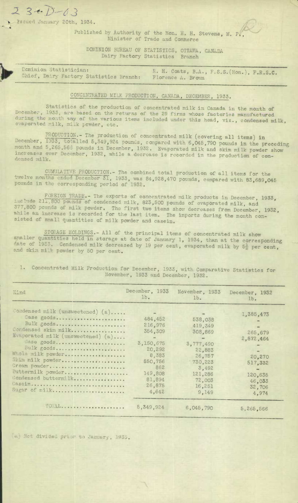Published by Authority of the Hon. H. H. Stevens, M. Minister of Trade and Commerce

DOMINION BUREAU OF STATISTICS, OTTAWA, CANADA Dairy Factory Statistics Branch

| Dominion Statistician:                  | R. H. Coats, B.A., F.S.S. (Hon.), F.R.S.C. |
|-----------------------------------------|--------------------------------------------|
| Chief, Dairy Factory Statistics Branch: | Florence A. Brown                          |

## CONCENTRATED MILK PRODUCTION, CANADA, DECEMBER, 1933.

Statistics of the production of concentrated milk in Canada in the month of December, 1933, are based on the returns of the 29 firms whose factories manufactured during the month any of the various items included under this head, viz., condensed milk, evaporated milk, milk pcwder, etc.

PRODUCTION.- The production of concentrated milk (covering all items) in December, 1933, totalled 5,349,924 pounds, compared with 6,045,790 pounds in the preceding month and 5,265,566 pounds in December, 1932. Evaporated milk and skim milk powder show increases over December, 1932, while a decrease is recorded in the production of condensed mi1k

CUMULATIVE PRODUCTION. - The combined total production of all items for the twelve months ended December 31, 1933, was 84,928,470 pounds, compared with 83,689,045 pounds in the corresponding period of 1932.

FOREIGN TRADE.- The exports of concentrated milk products in December, 1933, include 211,800 pounds of condensed milk, 823,500 pounds of evaporated milk, and 377,800 pounds of milk powder. The first two items show decreases from December, 1932, while an increase is recorded for the last item. The imports during the month consisted of small quantities of milk powder and casein.

STORAGE HOLDINGS.- All of the principal items of concentrated milk show smaller quantities held in storage at date of January 1, 1934, than at the corresponding date of 1933. Condensed milk decreased by 19 per cent, evaporated milk by  $5\frac{1}{2}$  per cent, and skim milk powder by 50 per cent.

| Kind                                                                                                                                                                                                                                                        | December, 1933<br>$1b$ .                                                                                                         | November, 1933<br>1 <sub>b</sub>                                                                                          | December, 1932<br>1 <sub>b</sub>                                                              |
|-------------------------------------------------------------------------------------------------------------------------------------------------------------------------------------------------------------------------------------------------------------|----------------------------------------------------------------------------------------------------------------------------------|---------------------------------------------------------------------------------------------------------------------------|-----------------------------------------------------------------------------------------------|
| Condensed milk (unsweetened) (a)<br>Case goods<br>Bulk goods<br>Condensed skim milk<br>Evaporated milk (unsweetened) (a)<br>Case goods<br>Bulk goods<br>Whole milk powder<br>Skim milk powder<br>Gream powder.<br>Puttermilk powder<br>Condensed buttermilk | 484,452<br>216,976<br>354,309<br>$\overline{\phantom{0}}$<br>3,150,675<br>20,292<br>8,383<br>850,756<br>862<br>149,808<br>81,894 | 538,038<br>419,349<br>308,869<br>$\overline{a}$<br>3,777,490<br>22.883<br>26,757<br>730.223<br>3,492<br>121,286<br>72,003 | 1,385,473<br>265,679<br>2,872,464<br>$\overline{\phantom{a}}$<br>20,270<br>517,332<br>120,635 |
| Casein<br>Sugar of milk                                                                                                                                                                                                                                     | 26,875<br>4,642                                                                                                                  | 16,251<br>9,149                                                                                                           | 46,033<br>32,706<br>4,974                                                                     |
| TOTAL                                                                                                                                                                                                                                                       | 5,349,924                                                                                                                        | 6,045,790                                                                                                                 | 5,265,566                                                                                     |

1. Concentrated Milk Production for December, 1933, with Comparative Statistics for November, 1933 and December, 1932.

(a) Not divided prior to January, 1933.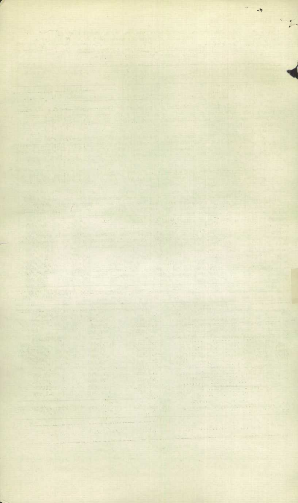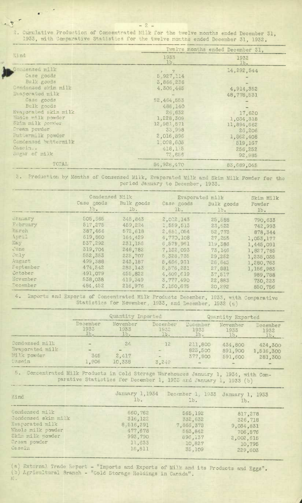2. Cumulative Production of Concentrated Milk for the twelve months ended December 31, 1933, with Comparative Statistics for the twelve months ended December 31, 1932.

 $\tilde{\mathcal{L}}$ 

|                      | Twelve months ended December 31,             |             |  |  |
|----------------------|----------------------------------------------|-------------|--|--|
| Lind                 | 1933<br>$1b$ .                               | 1932<br>lb. |  |  |
| Condensed milk       | $\overline{z}$ $\overline{z}$ $\overline{z}$ | 14,292,544  |  |  |
| Case goods           | 5,927,114                                    |             |  |  |
| Bulk goods           | 5,866,236                                    |             |  |  |
| Condensed skim milk  | 4,306,445                                    | 4,914,352   |  |  |
| Dvaporated milk      |                                              | 48,778,531  |  |  |
| Case goods           | 52,464,553                                   |             |  |  |
| Bulk goods           | 486,140                                      |             |  |  |
| Evaporated skin milk | 26,632                                       | 17,620      |  |  |
| Whole milk powder    | 1.228,309                                    | 1,034,318   |  |  |
| Skim milk powder     | 12,981,571                                   | 11,894,662  |  |  |
| Cream powder         | 33,998                                       | 26,206      |  |  |
| Buttermilk powder    | 2,016,896                                    | 1,862,408   |  |  |
| Condensed buttermilk | 1.098,605                                    | 519,167     |  |  |
| Cascin               | 418.115                                      | 256,252     |  |  |
| Sugar of milk        | 73,856                                       | 92.985      |  |  |
| TOTAL                | 84,928,470                                   | 83,689,045  |  |  |

3. Production by Months of Consensed Milk, Evaporated Milk and Skim Milk Powder for the period January to December, 1933.

|                | Condensed Milk<br>Case goods Bulk goods<br>$1b$ . | $1b$ .  | Evaporated milk<br>Case goods Bulk goods<br>1b. | 15.     | Skim Milk<br>Powder |
|----------------|---------------------------------------------------|---------|-------------------------------------------------|---------|---------------------|
|                |                                                   |         |                                                 |         | lb.                 |
| January        | 505,565                                           | 345,843 | 2,012,143                                       | 25,588  | 790,633             |
| February       | 517.275                                           | 459,224 | 1,559,513                                       | 23,522  | 742.993             |
| March          | 387,466                                           | 572,618 | 2,651,054                                       | 52,773  | 878, 344            |
| April          | 619,860                                           | 164,429 | 4,770,108                                       | 27,255  | 1,053,177           |
| May            | 537,292                                           | 231,156 | 6,579.961                                       | 119,386 | 1,445.091           |
| $\epsilon$ une | 319.704                                           | 248.782 | 7,182,093                                       | 73,146  | 1,827,785           |
| July           | 552,353                                           | 225,707 | 5.328.735                                       | 29,252  | 1,235,035           |
| August         | 499,388                                           | 243,187 | 5,466.931                                       | 26,645  | 1,280,763           |
| September      | 474,542                                           | 283.143 | 5,576,231                                       | 27,881  | 1.156.983           |
| Cotober        | 491,079                                           | 455.822 | 4,409,619                                       | 37,517  | 989,788             |
| November       | 538,038                                           | 419,349 | 3,777,490                                       | 22,883  | 730,223             |
| December       | 484,452                                           | 216.976 | 3.150.675                                       | 20,292  | 850.756             |

4. Imports and Exports of Concentrated Milk Products December, 1933, with Comparative Statistics for November, 1933, and December, 1932 (a)

|                                                            |                         | Quantity Imported       |                                                      | Quantity Exported                            |                               |                                 |
|------------------------------------------------------------|-------------------------|-------------------------|------------------------------------------------------|----------------------------------------------|-------------------------------|---------------------------------|
|                                                            | December<br>1933<br>1b. | November<br>1933<br>1b. | December<br>1932<br>$1b$ .                           | December<br>1933<br>$1b$ .                   | Nevember<br>1933<br>10.       | December<br>1932<br>1b.         |
| Condensed milk<br>Evaporated milk<br>Milk powder<br>Casein | 345<br>1,906            | 24<br>2,417<br>10,338   | 12<br>$\omega_{\rm{tot}}$<br>$\blacksquare$<br>3.249 | 211,800<br>823,500<br>377,800<br>$_{\rm em}$ | 434,800<br>891,900<br>591.600 | 424.300<br>1,516,300<br>281,300 |

5. Concentrated Milk Products in Cold Sterage Warehouses January 1, 1934, with Comparative Statistics for December 1, 1933 and January 1, 1933 (b)

| Kind                | January 1,1934<br>1 <sub>b</sub> | December 1, 1933 January 1, 1933<br>$1b$ . | $1b$ .    |
|---------------------|----------------------------------|--------------------------------------------|-----------|
| Condensed milk      | 660,762                          | 565,192                                    | 817.278   |
| Condensed skim milk | 316,122                          | 332,632                                    | 326.718   |
| Evaporated milk     | 8,516,291                        | 7,866,373                                  | 9,034,831 |
| Whole milk powder   | 477.678                          | 583,842                                    | 706,876   |
| Skim milk powder    | 993,790                          | 896,137                                    | 2,002.615 |
| Gream powder        | 11,633                           | 10,827                                     | 10,795    |
| Casein              | 18,811                           | 35,109                                     | 229.603   |

(a) External Trade Report - "Imports and Exports of Milk and its Products and Eggs".<br>(b) Agricultural Branch - "Cold Storage Holdings in Canada".  $\mathbf{M}$  .